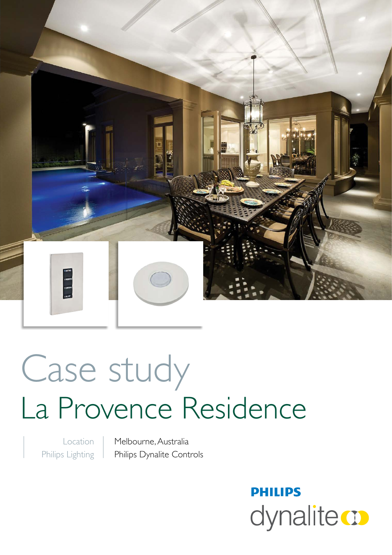

# Case study La Provence Residence

Location Philips Lighting Melbourne, Australia Philips Dynalite Controls

> **PHILIPS** dynalite **o**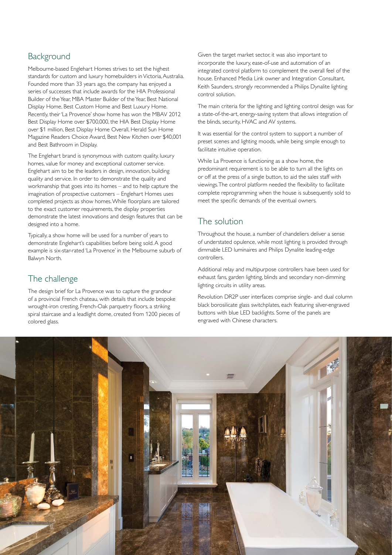## Background

Melbourne-based Englehart Homes strives to set the highest standards for custom and luxury homebuilders in Victoria, Australia. Founded more than 33 years ago, the company has enjoyed a series of successes that include awards for the HIA Professional Builder of the Year, MBA Master Builder of the Year, Best National Display Home, Best Custom Home and Best Luxury Home. Recently, their 'La Provence' show home has won the MBAV 2012 Best Display Home over \$700,000, the HIA Best Display Home over \$1 million, Best Display Home Overall, Herald Sun Home Magazine Readers Choice Award, Best New Kitchen over \$40,001 and Best Bathroom in Display.

The Englehart brand is synonymous with custom quality, luxury homes, value for money and exceptional customer service. Englehart aim to be the leaders in design, innovation, building quality and service. In order to demonstrate the quality and workmanship that goes into its homes – and to help capture the imagination of prospective customers – Englehart Homes uses completed projects as show homes. While floorplans are tailored to the exact customer requirements, the display properties demonstrate the latest innovations and design features that can be designed into a home.

Typically, a show home will be used for a number of years to demonstrate Englehart's capabilities before being sold. A good example is six-star-rated 'La Provence' in the Melbourne suburb of Balwyn North.

### The challenge

The design brief for La Provence was to capture the grandeur of a provincial French chateau, with details that include bespoke wrought-iron cresting, French-Oak parquetry floors, a striking spiral staircase and a leadlight dome, created from 1200 pieces of colored glass.

Given the target market sector, it was also important to incorporate the luxury, ease-of-use and automation of an integrated control platform to complement the overall feel of the house. Enhanced Media Link owner and Integration Consultant, Keith Saunders, strongly recommended a Philips Dynalite lighting control solution.

The main criteria for the lighting and lighting control design was for a state-of-the-art, energy-saving system that allows integration of the blinds, security, HVAC and AV systems.

It was essential for the control system to support a number of preset scenes and lighting moods, while being simple enough to facilitate intuitive operation.

While La Provence is functioning as a show home, the predominant requirement is to be able to turn all the lights on or off at the press of a single button, to aid the sales staff with viewings. The control platform needed the flexibility to facilitate complete reprogramming when the house is subsequently sold to meet the specific demands of the eventual owners.

# The solution

Throughout the house, a number of chandeliers deliver a sense of understated opulence, while most lighting is provided through dimmable LED luminaires and Philips Dynalite leading-edge controllers.

Additional relay and multipurpose controllers have been used for exhaust fans, garden lighting, blinds and secondary non-dimming lighting circuits in utility areas.

Revolution DR2P user interfaces comprise single- and dual column black borosilicate glass switchplates, each featuring silver-engraved buttons with blue LED backlights. Some of the panels are engraved with Chinese characters.

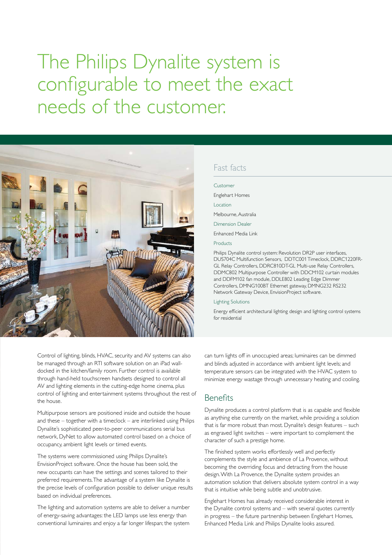# The Philips Dynalite system is configurable to meet the exact needs of the customer.



Control of lighting, blinds, HVAC, security and AV systems can also be managed through an RTI software solution on an iPad walldocked in the kitchen/family room. Further control is available through hand-held touchscreen handsets designed to control all AV and lighting elements in the cutting-edge home cinema, plus control of lighting and entertainment systems throughout the rest of the house.

Multipurpose sensors are positioned inside and outside the house and these – together with a timeclock – are interlinked using Philips Dynalite's sophisticated peer-to-peer communications serial bus network, DyNet to allow automated control based on a choice of occupancy, ambient light levels or timed events.

The systems were commissioned using Philips Dynalite's EnvisionProject software. Once the house has been sold, the new occupants can have the settings and scenes tailored to their preferred requirements. The advantage of a system like Dynalite is the precise levels of configuration possible to deliver unique results based on individual preferences.

The lighting and automation systems are able to deliver a number of energy-saving advantages: the LED lamps use less energy than conventional luminaires and enjoy a far longer lifespan; the system

#### Fast facts

# Customer Englehart Homes Location Melbourne, Australia Dimension Dealer

Enhanced Media Link

Products

Philips Dynalite control system: Revolution DR2P user interfaces, DUS704C Multifunction Sensors, DDTC001 Timeclock, DDRC1220FR-GL Relay Controllers, DDRC810DT-GL Multi-use Relay Controllers, DDMC802 Multipurpose Controller with DDCM102 curtain modules and DDFM102 fan module, DDLE802 Leading Edge Dimmer Controllers, DMNG100BT Ethernet gateway, DMNG232 RS232 Network Gateway Device, EnvisionProject software.

#### Lighting Solutions

Energy efficient architectural lighting design and lighting control systems for residential

can turn lights off in unoccupied areas; luminaires can be dimmed and blinds adjusted in accordance with ambient light levels; and temperature sensors can be integrated with the HVAC system to minimize energy wastage through unnecessary heating and cooling.

#### Benefits

Dynalite produces a control platform that is as capable and flexible as anything else currently on the market, while providing a solution that is far more robust than most. Dynalite's design features – such as engraved light switches – were important to complement the character of such a prestige home.

The finished system works effortlessly well and perfectly complements the style and ambience of La Provence, without becoming the overriding focus and detracting from the house design. With La Provence, the Dynalite system provides an automation solution that delivers absolute system control in a way that is intuitive while being subtle and unobtrusive.

Englehart Homes has already received considerable interest in the Dynalite control systems and – with several quotes currently in progress – the future partnership between Englehart Homes, Enhanced Media Link and Philips Dynalite looks assured.